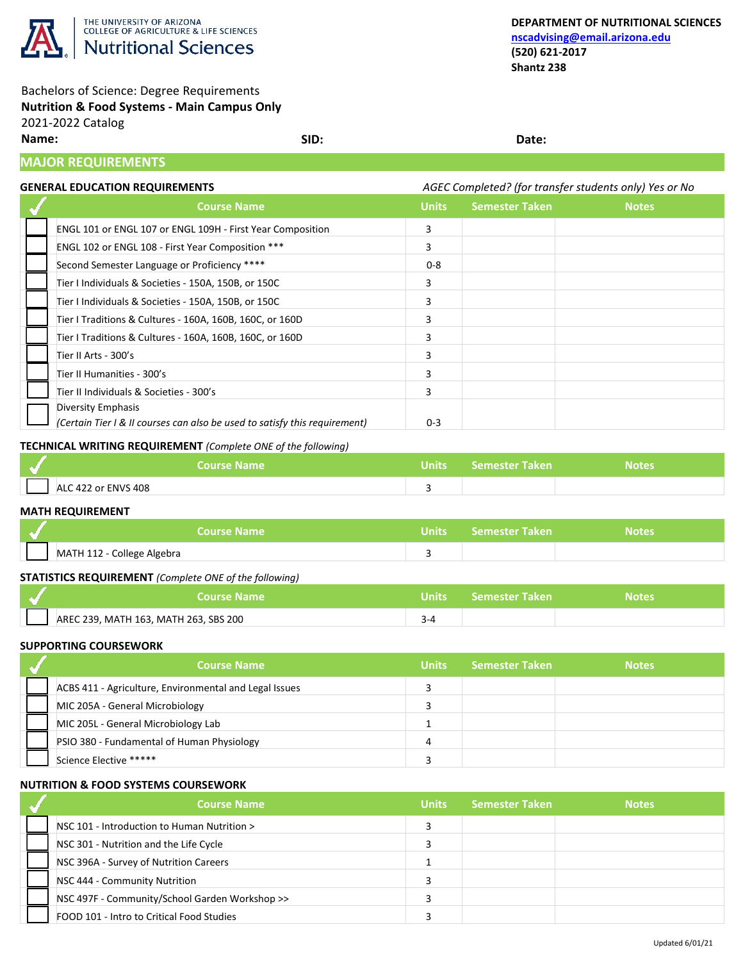

## Bachelors of Science: Degree Requirements **Nutrition & Food Systems - Main Campus Only** 2021-2022 Catalog

**Name: SID: Date:**

# **MAJOR REQUIREMENTS**

## **GENERAL EDUCATION REQUIREMENTS** *AGEC Completed? (for transfer students only) Yes or No*

| <b>Course Name</b>                                                         | <b>Units</b> | <b>Semester Taken</b> | <b>Notes</b> |
|----------------------------------------------------------------------------|--------------|-----------------------|--------------|
| ENGL 101 or ENGL 107 or ENGL 109H - First Year Composition                 | 3            |                       |              |
| ENGL 102 or ENGL 108 - First Year Composition ***                          | 3            |                       |              |
| Second Semester Language or Proficiency ****                               | $0 - 8$      |                       |              |
| Tier I Individuals & Societies - 150A, 150B, or 150C                       | 3            |                       |              |
| Tier I Individuals & Societies - 150A, 150B, or 150C                       | 3            |                       |              |
| Tier I Traditions & Cultures - 160A, 160B, 160C, or 160D                   | 3            |                       |              |
| Tier I Traditions & Cultures - 160A, 160B, 160C, or 160D                   | R            |                       |              |
| Tier II Arts - 300's                                                       | 3            |                       |              |
| Tier II Humanities - 300's                                                 | 3            |                       |              |
| Tier II Individuals & Societies - 300's                                    | 3            |                       |              |
| Diversity Emphasis                                                         |              |                       |              |
| (Certain Tier I & II courses can also be used to satisfy this requirement) | $0 - 3$      |                       |              |

## **TECHNICAL WRITING REQUIREMENT** *(Complete ONE of the following)*

|                     | Course Name | Units Semester Taken | Notes |
|---------------------|-------------|----------------------|-------|
| ALC 422 or ENVS 408 |             |                      |       |

#### **MATH REQUIREMENT**

| <b>Course Name</b>         | Units Semester Taken | Notes |
|----------------------------|----------------------|-------|
| MATH 112 - College Algebra |                      |       |

## **STATISTICS REQUIREMENT** *(Complete ONE of the following)*

| <b>NCourse Name</b>                   | Units $\color{blue}1$ | <b>Semester Taken</b> | <b>Notes</b> |
|---------------------------------------|-----------------------|-----------------------|--------------|
| AREC 239, MATH 163, MATH 263, SBS 200 |                       |                       |              |

#### **SUPPORTING COURSEWORK**

| <b>Course Name</b>                                     | Units | <b>Semester Taken</b> | <b>Notes</b> |
|--------------------------------------------------------|-------|-----------------------|--------------|
| ACBS 411 - Agriculture, Environmental and Legal Issues |       |                       |              |
| MIC 205A - General Microbiology                        |       |                       |              |
| MIC 205L - General Microbiology Lab                    |       |                       |              |
| PSIO 380 - Fundamental of Human Physiology             | 4     |                       |              |
| Science Elective *****                                 |       |                       |              |

#### **NUTRITION & FOOD SYSTEMS COURSEWORK**

| <b>Course Name</b>                             | <b>Units</b> | <b>Semester Taken</b> | <b>Notes</b> |
|------------------------------------------------|--------------|-----------------------|--------------|
| NSC 101 - Introduction to Human Nutrition >    |              |                       |              |
| NSC 301 - Nutrition and the Life Cycle         |              |                       |              |
| NSC 396A - Survey of Nutrition Careers         |              |                       |              |
| NSC 444 - Community Nutrition                  |              |                       |              |
| NSC 497F - Community/School Garden Workshop >> |              |                       |              |
| FOOD 101 - Intro to Critical Food Studies      |              |                       |              |